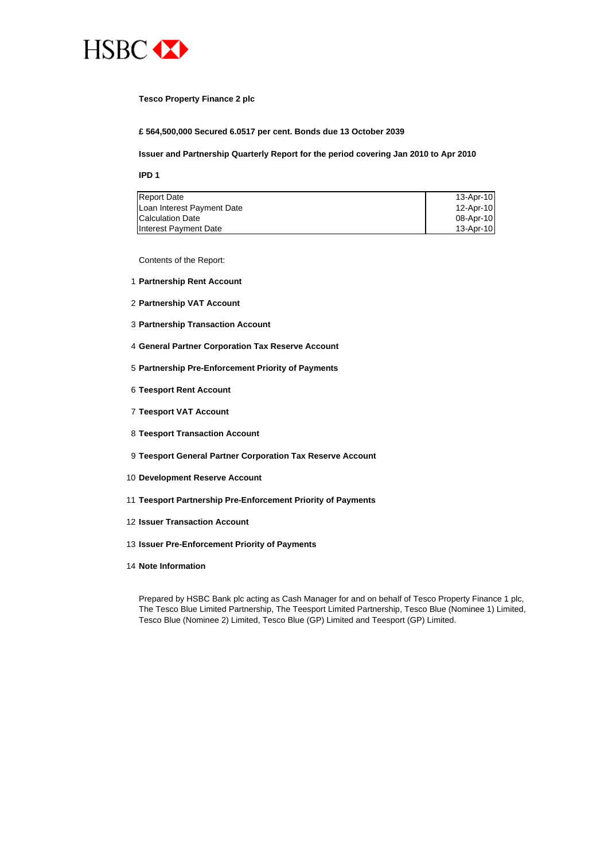

### **Tesco Property Finance 2 plc**

**£ 564,500,000 Secured 6.0517 per cent. Bonds due 13 October 2039**

### **Issuer and Partnership Quarterly Report for the period covering Jan 2010 to Apr 2010**

**IPD 1**

| <b>Report Date</b>         | $13$ -Apr-10 |
|----------------------------|--------------|
| Loan Interest Payment Date | 12-Apr-10    |
| <b>Calculation Date</b>    | 08-Apr-10    |
| Interest Payment Date      | 13-Apr-10    |

Contents of the Report:

- 1 **Partnership Rent Account**
- 2 **Partnership VAT Account**
- 3 **Partnership Transaction Account**
- 4 **General Partner Corporation Tax Reserve Account**
- 5 **Partnership Pre-Enforcement Priority of Payments**
- 6 **Teesport Rent Account**
- 7 **Teesport VAT Account**
- 8 **Teesport Transaction Account**
- 9 **Teesport General Partner Corporation Tax Reserve Account**
- 10 **Development Reserve Account**
- 11 **Teesport Partnership Pre-Enforcement Priority of Payments**
- 12 **Issuer Transaction Account**
- 13 **Issuer Pre-Enforcement Priority of Payments**
- 14 **Note Information**

Prepared by HSBC Bank plc acting as Cash Manager for and on behalf of Tesco Property Finance 1 plc, The Tesco Blue Limited Partnership, The Teesport Limited Partnership, Tesco Blue (Nominee 1) Limited, Tesco Blue (Nominee 2) Limited, Tesco Blue (GP) Limited and Teesport (GP) Limited.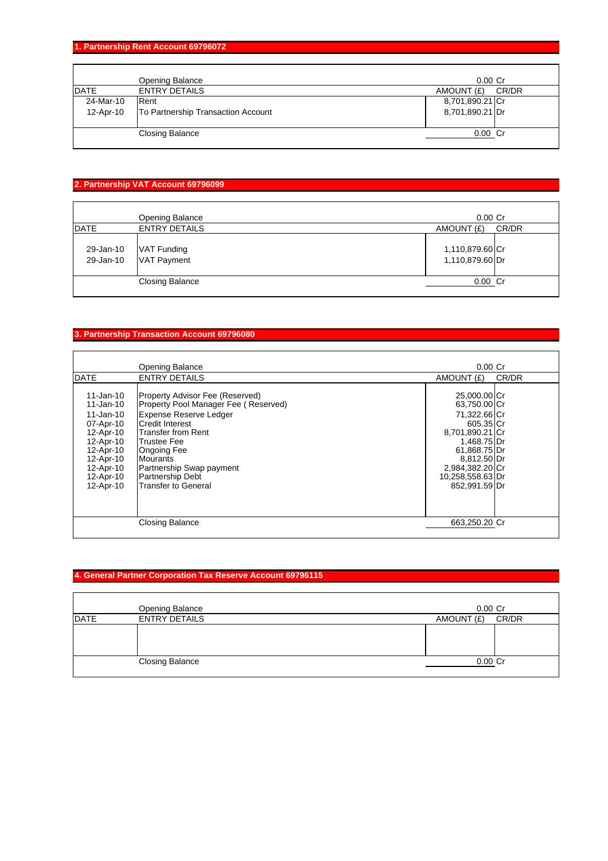# **1. Partnership Rent Account 69796072**

|             | <b>Opening Balance</b>             | $0.00$ Cr       |       |
|-------------|------------------------------------|-----------------|-------|
| <b>DATE</b> | <b>ENTRY DETAILS</b>               | AMOUNT (£)      | CR/DR |
| 24-Mar-10   | Rent                               | 8,701,890.21 Cr |       |
| 12-Apr-10   | To Partnership Transaction Account | 8,701,890.21 Dr |       |
|             |                                    |                 |       |
|             | <b>Closing Balance</b>             | $0.00$ Cr       |       |
|             |                                    |                 |       |

## **2. Partnership VAT Account 69796099**

|                        | Opening Balance                          | $0.00$ Cr                          |       |
|------------------------|------------------------------------------|------------------------------------|-------|
| <b>DATE</b>            | <b>ENTRY DETAILS</b>                     | AMOUNT (£)                         | CR/DR |
| 29-Jan-10<br>29-Jan-10 | <b>VAT Funding</b><br><b>VAT Payment</b> | 1,110,879.60 Cr<br>1,110,879.60 Dr |       |
|                        | Closing Balance                          | $0.00$ Cr                          |       |

### **3. Partnership Transaction Account 69796080**

|                                                                                                                                             | Opening Balance                                                                                                                                                                                                                                                                                              | $0.00$ Cr                                                                                                                                                                          |       |
|---------------------------------------------------------------------------------------------------------------------------------------------|--------------------------------------------------------------------------------------------------------------------------------------------------------------------------------------------------------------------------------------------------------------------------------------------------------------|------------------------------------------------------------------------------------------------------------------------------------------------------------------------------------|-------|
| <b>DATE</b>                                                                                                                                 | <b>ENTRY DETAILS</b>                                                                                                                                                                                                                                                                                         | AMOUNT (£)                                                                                                                                                                         | CR/DR |
| 11-Jan-10<br>11-Jan-10<br>11-Jan-10<br>07-Apr-10<br>12-Apr-10<br>12-Apr-10<br>12-Apr-10<br>12-Apr-10<br>12-Apr-10<br>12-Apr-10<br>12-Apr-10 | Property Advisor Fee (Reserved)<br>Property Pool Manager Fee (Reserved)<br><b>Expense Reserve Ledger</b><br><b>Credit Interest</b><br><b>Transfer from Rent</b><br><b>Trustee Fee</b><br><b>Ongoing Fee</b><br>Mourants<br>Partnership Swap payment<br><b>Partnership Debt</b><br><b>Transfer to General</b> | 25,000.00 Cr<br>63,750.00 Cr<br>71,322.66 Cr<br>605.35 Cr<br>8,701,890.21 Cr<br>1,468.75 Dr<br>61,868.75 Dr<br>8,812.50 Dr<br>2,984,382.20 Cr<br>10,258,558.63 Dr<br>852.991.59 Dr |       |
|                                                                                                                                             | <b>Closing Balance</b>                                                                                                                                                                                                                                                                                       | 663,250.20 Cr                                                                                                                                                                      |       |

# **4. General Partner Corporation Tax Reserve Account 69796115**

|             | <b>Opening Balance</b> | $0.00$ $Cr$         |
|-------------|------------------------|---------------------|
| <b>DATE</b> | <b>ENTRY DETAILS</b>   | CR/DR<br>AMOUNT (£) |
|             |                        |                     |
|             |                        |                     |
|             |                        |                     |
|             | <b>Closing Balance</b> | 0.00 Cr             |
|             |                        |                     |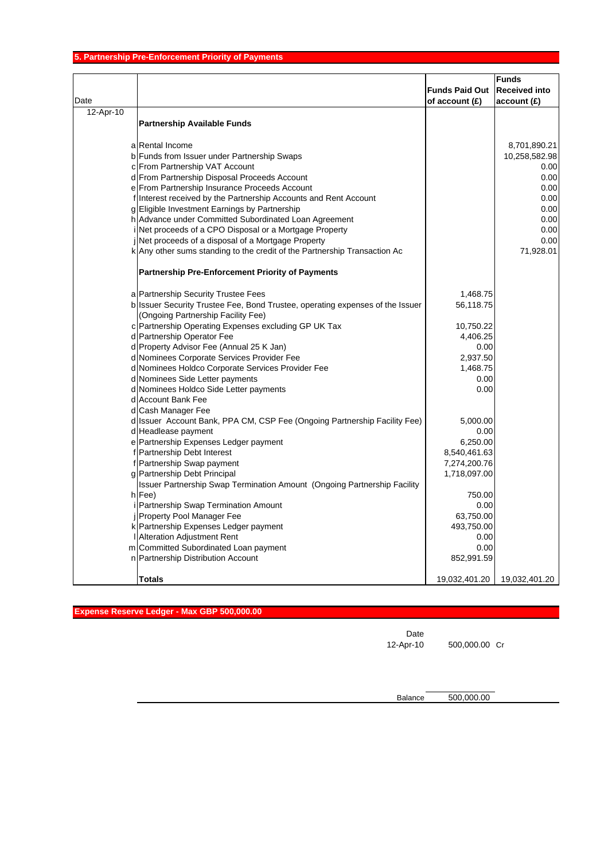| Date      |                                                                               | <b>Funds Paid Out</b><br>of account $(E)$ | <b>Funds</b><br><b>Received into</b><br>account(E) |
|-----------|-------------------------------------------------------------------------------|-------------------------------------------|----------------------------------------------------|
| 12-Apr-10 |                                                                               |                                           |                                                    |
|           | <b>Partnership Available Funds</b>                                            |                                           |                                                    |
|           | a Rental Income                                                               |                                           | 8,701,890.21                                       |
|           | b Funds from Issuer under Partnership Swaps                                   |                                           | 10,258,582.98                                      |
|           | c From Partnership VAT Account                                                |                                           | 0.00                                               |
|           | d From Partnership Disposal Proceeds Account                                  |                                           | 0.00                                               |
|           | e From Partnership Insurance Proceeds Account                                 |                                           | 0.00                                               |
|           | f Interest received by the Partnership Accounts and Rent Account              |                                           | 0.00                                               |
|           | g Eligible Investment Earnings by Partnership                                 |                                           | 0.00                                               |
|           | h Advance under Committed Subordinated Loan Agreement                         |                                           | 0.00                                               |
|           | Net proceeds of a CPO Disposal or a Mortgage Property                         |                                           | 0.00                                               |
|           | Net proceeds of a disposal of a Mortgage Property                             |                                           | 0.00                                               |
|           | k Any other sums standing to the credit of the Partnership Transaction Ac     |                                           | 71,928.01                                          |
|           | <b>Partnership Pre-Enforcement Priority of Payments</b>                       |                                           |                                                    |
|           | a Partnership Security Trustee Fees                                           | 1,468.75                                  |                                                    |
|           | b Issuer Security Trustee Fee, Bond Trustee, operating expenses of the Issuer | 56,118.75                                 |                                                    |
|           | (Ongoing Partnership Facility Fee)                                            |                                           |                                                    |
|           | c Partnership Operating Expenses excluding GP UK Tax                          | 10,750.22                                 |                                                    |
|           | d Partnership Operator Fee                                                    | 4,406.25                                  |                                                    |
|           | d Property Advisor Fee (Annual 25 K Jan)                                      | 0.00                                      |                                                    |
|           | d Nominees Corporate Services Provider Fee                                    | 2,937.50                                  |                                                    |
|           | d Nominees Holdco Corporate Services Provider Fee                             | 1,468.75                                  |                                                    |
|           | d Nominees Side Letter payments                                               | 0.00                                      |                                                    |
|           | d Nominees Holdco Side Letter payments                                        | 0.00                                      |                                                    |
|           | d Account Bank Fee                                                            |                                           |                                                    |
|           | d Cash Manager Fee                                                            |                                           |                                                    |
|           | d Issuer Account Bank, PPA CM, CSP Fee (Ongoing Partnership Facility Fee)     | 5,000.00                                  |                                                    |
|           | d Headlease payment                                                           | 0.00                                      |                                                    |
|           | e Partnership Expenses Ledger payment                                         | 6,250.00                                  |                                                    |
|           | f Partnership Debt Interest                                                   | 8,540,461.63                              |                                                    |
|           | f Partnership Swap payment                                                    | 7,274,200.76                              |                                                    |
|           | g Partnership Debt Principal                                                  | 1,718,097.00                              |                                                    |
|           | Issuer Partnership Swap Termination Amount (Ongoing Partnership Facility      |                                           |                                                    |
|           | h Fee)                                                                        | 750.00                                    |                                                    |
|           | Partnership Swap Termination Amount                                           | 0.00                                      |                                                    |
|           | <b>i</b> Property Pool Manager Fee                                            | 63,750.00                                 |                                                    |
|           | k Partnership Expenses Ledger payment                                         | 493,750.00                                |                                                    |
|           | <b>I</b> Alteration Adjustment Rent                                           | 0.00                                      |                                                    |
|           | m Committed Subordinated Loan payment                                         | 0.00                                      |                                                    |
|           | n Partnership Distribution Account                                            | 852,991.59                                |                                                    |
|           | <b>Totals</b>                                                                 | 19,032,401.20                             | 19,032,401.20                                      |

**Expense Reserve Ledger - Max GBP 500,000.00**

Date

12-Apr-10 500,000.00 Cr

Balance 500,000.00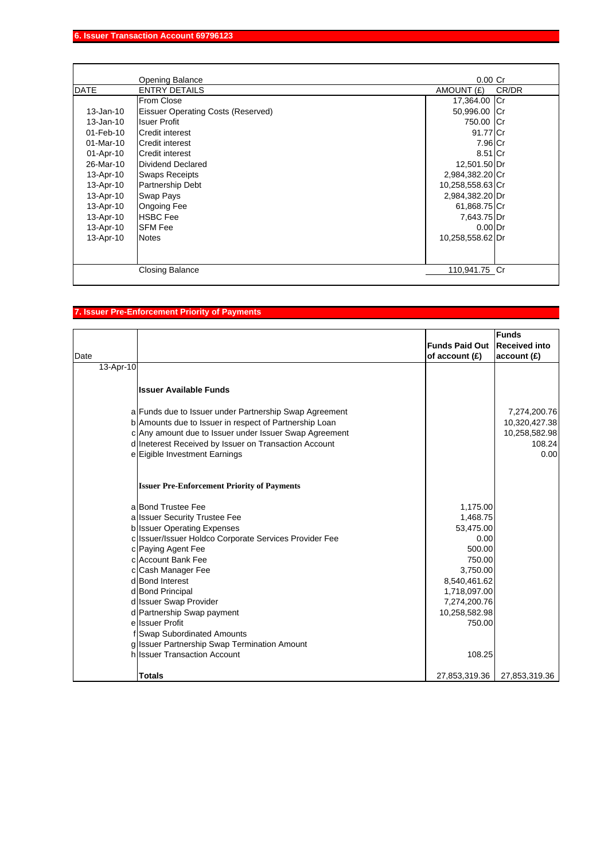|              | Opening Balance                           | $0.00$ Cr           |
|--------------|-------------------------------------------|---------------------|
| <b>DATE</b>  | <b>ENTRY DETAILS</b>                      | AMOUNT (£)<br>CR/DR |
|              | From Close                                | 17,364.00 Cr        |
| $13$ -Jan-10 | <b>Eissuer Operating Costs (Reserved)</b> | 50,996.00 Cr        |
| 13-Jan-10    | <b>Isuer Profit</b>                       | 750.00 Cr           |
| $01$ -Feb-10 | Credit interest                           | 91.77 Cr            |
| $01$ -Mar-10 | Credit interest                           | 7.96 Cr             |
| 01-Apr-10    | <b>Credit interest</b>                    | 8.51 Cr             |
| 26-Mar-10    | <b>Dividend Declared</b>                  | 12,501.50 Dr        |
| 13-Apr-10    | <b>Swaps Receipts</b>                     | 2,984,382.20 Cr     |
| 13-Apr-10    | Partnership Debt                          | 10,258,558.63 Cr    |
| 13-Apr-10    | <b>Swap Pays</b>                          | 2,984,382.20 Dr     |
| 13-Apr-10    | <b>Ongoing Fee</b>                        | 61,868.75 Cr        |
| 13-Apr-10    | <b>HSBC</b> Fee                           | 7,643.75 Dr         |
| 13-Apr-10    | <b>SFM Fee</b>                            | $0.00$ Dr           |
| 13-Apr-10    | <b>Notes</b>                              | 10,258,558.62 Dr    |
|              |                                           |                     |
|              |                                           |                     |
|              | <b>Closing Balance</b>                    | 110,941.75 Cr       |

# **7. Issuer Pre-Enforcement Priority of Payments**

| Date      |                                                                                  | <b>Funds Paid Out</b><br>of account (£) | <b>Funds</b><br><b>Received into</b><br>account(E) |
|-----------|----------------------------------------------------------------------------------|-----------------------------------------|----------------------------------------------------|
| 13-Apr-10 |                                                                                  |                                         |                                                    |
|           | <b>Issuer Available Funds</b>                                                    |                                         |                                                    |
|           | a Funds due to Issuer under Partnership Swap Agreement                           |                                         | 7,274,200.76                                       |
|           | b Amounts due to Issuer in respect of Partnership Loan                           |                                         | 10,320,427.38                                      |
|           | c Any amount due to Issuer under Issuer Swap Agreement                           |                                         | 10,258,582.98                                      |
|           | d Ineterest Received by Issuer on Transaction Account                            |                                         | 108.24                                             |
|           | e Eigible Investment Earnings                                                    |                                         | 0.00                                               |
|           | <b>Issuer Pre-Enforcement Priority of Payments</b>                               |                                         |                                                    |
|           | al Bond Trustee Fee                                                              | 1,175.00                                |                                                    |
|           | a Issuer Security Trustee Fee                                                    | 1,468.75                                |                                                    |
|           | b Issuer Operating Expenses                                                      | 53,475.00                               |                                                    |
|           | c Issuer/Issuer Holdco Corporate Services Provider Fee                           | 0.00                                    |                                                    |
|           | c Paying Agent Fee                                                               | 500.00                                  |                                                    |
|           | c Account Bank Fee                                                               | 750.00                                  |                                                    |
|           | c Cash Manager Fee                                                               | 3,750.00                                |                                                    |
|           | d Bond Interest                                                                  | 8,540,461.62                            |                                                    |
|           | d Bond Principal                                                                 | 1,718,097.00                            |                                                    |
|           | d Issuer Swap Provider                                                           | 7,274,200.76                            |                                                    |
|           | d Partnership Swap payment<br>ellssuer Profit                                    | 10,258,582.98                           |                                                    |
|           |                                                                                  | 750.00                                  |                                                    |
|           | <b>Swap Subordinated Amounts</b><br>g Issuer Partnership Swap Termination Amount |                                         |                                                    |
|           | hilssuer Transaction Account                                                     | 108.25                                  |                                                    |
|           |                                                                                  |                                         |                                                    |
|           | <b>Totals</b>                                                                    | 27,853,319.36                           | 27,853,319.36                                      |